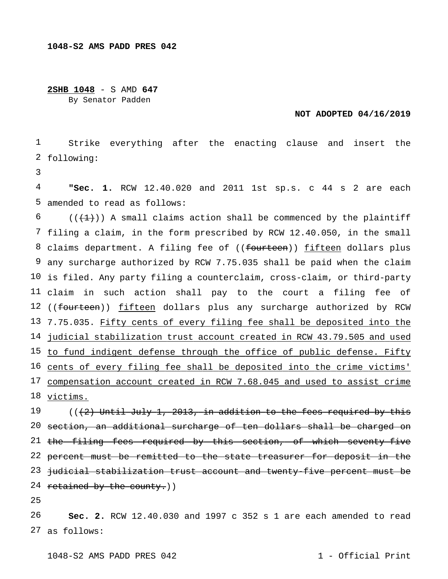**2SHB 1048** - S AMD **647**

By Senator Padden

## **NOT ADOPTED 04/16/2019**

1 2 following: Strike everything after the enacting clause and insert the

3

4 5 amended to read as follows: **"Sec. 1.** RCW 12.40.020 and 2011 1st sp.s. c 44 s 2 are each

6 7 filing a claim, in the form prescribed by RCW 12.40.050, in the small 8 claims department. A filing fee of ((<del>fourteen</del>)) fifteen dollars plus 9 any surcharge authorized by RCW 7.75.035 shall be paid when the claim 10 is filed. Any party filing a counterclaim, cross-claim, or third-party 11 claim in such action shall pay to the court a filing fee of 12 ((<del>fourteen</del>)) <u>fifteen</u> dollars plus any surcharge authorized by RCW 13 7.75.035. Fifty cents of every filing fee shall be deposited into the 14 judicial stabilization trust account created in RCW 43.79.505 and used 15 to fund indigent defense through the office of public defense. Fifty 16 cents of every filing fee shall be deposited into the crime victims' 17 compensation account created in RCW 7.68.045 and used to assist crime 18 <u>victims.</u>  $((+1))$  A small claims action shall be commenced by the plaintiff

19 20 section, an additional surcharge of ten dollars shall be charged on 21 the filing fees required by this section, of which seventy-five 22 percent must be remitted to the state treasurer for deposit in the 23 judicial stabilization trust account and twenty-five percent must be 24 retained by the county.)) (((2) Until July 1, 2013, in addition to the fees required by this

25

26 27 as follows:**Sec. 2.** RCW 12.40.030 and 1997 c 352 s 1 are each amended to read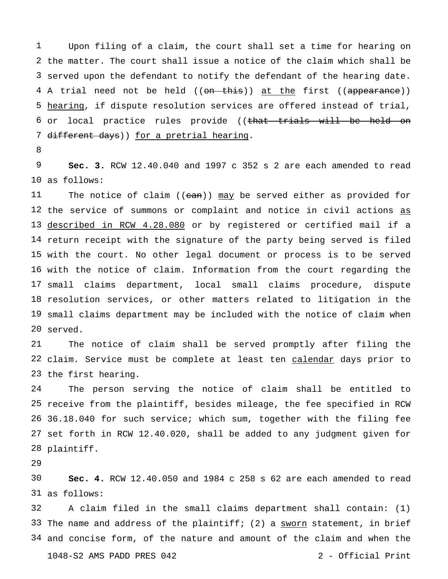the matter. The court shall issue a notice of the claim which shall be served upon the defendant to notify the defendant of the hearing date. 4 A trial need not be held ((<del>on this</del>)) <u>at the</u> first ((<del>appearance</del>)) hearing, if dispute resolution services are offered instead of trial, 6 or local practice rules provide ((that trials will be held on 7 different days)) for a pretrial hearing. Upon filing of a claim, the court shall set a time for hearing on

 as follows: **Sec. 3.** RCW 12.40.040 and 1997 c 352 s 2 are each amended to read

 the service of summons or complaint and notice in civil actions as described in RCW 4.28.080 or by registered or certified mail if a return receipt with the signature of the party being served is filed with the court. No other legal document or process is to be served with the notice of claim. Information from the court regarding the small claims department, local small claims procedure, dispute resolution services, or other matters related to litigation in the small claims department may be included with the notice of claim when served. The notice of claim ( $(ean)$ ) may be served either as provided for

 22 claim. Service must be complete at least ten calendar days prior to the first hearing. The notice of claim shall be served promptly after filing the

 receive from the plaintiff, besides mileage, the fee specified in RCW 36.18.040 for such service; which sum, together with the filing fee set forth in RCW 12.40.020, shall be added to any judgment given for plaintiff. The person serving the notice of claim shall be entitled to

 as follows: **Sec. 4.** RCW 12.40.050 and 1984 c 258 s 62 are each amended to read

 33 The name and address of the plaintiff; (2) a sworn statement, in brief and concise form, of the nature and amount of the claim and when the 1048-S2 AMS PADD PRES 042 2 - Official Print A claim filed in the small claims department shall contain: (1)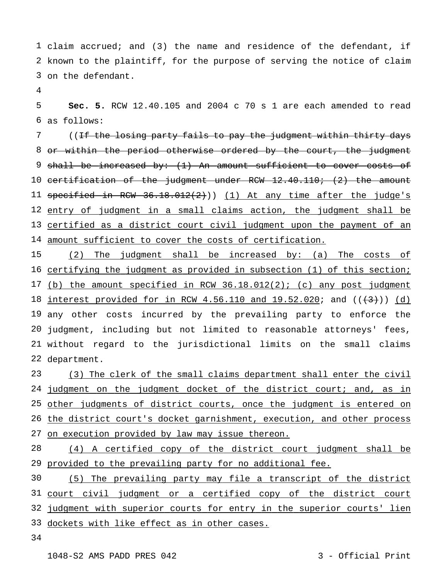claim accrued; and (3) the name and residence of the defendant, if known to the plaintiff, for the purpose of serving the notice of claim on the defendant.

 as follows: **Sec. 5.** RCW 12.40.105 and 2004 c 70 s 1 are each amended to read

 or within the period otherwise ordered by the court, the judgment shall be increased by: (1) An amount sufficient to cover costs of certification of the judgment under RCW 12.40.110; (2) the amount 11 specified in RCW 36.18.012(2))) (1) At any time after the judge's entry of judgment in a small claims action, the judgment shall be certified as a district court civil judgment upon the payment of an amount sufficient to cover the costs of certification. ((<del>If the losing party fails to pay the judgment within thirty days</del>

 certifying the judgment as provided in subsection (1) of this section; 17 (b) the amount specified in RCW 36.18.012(2); (c) any post judgment 18 interest provided for in RCW 4.56.110 and 19.52.020; and ((<del>(3)</del>)) (d) any other costs incurred by the prevailing party to enforce the judgment, including but not limited to reasonable attorneys' fees, without regard to the jurisdictional limits on the small claims department. (2) The judgment shall be increased by: (a) The costs of

 24 judgment on the judgment docket of the district court; and, as in other judgments of district courts, once the judgment is entered on 26 the district court's docket garnishment, execution, and other process 27 on execution provided by law may issue thereon. (3) The clerk of the small claims department shall enter the civil

 provided to the prevailing party for no additional fee. (4) A certified copy of the district court judgment shall be

 court civil judgment or a certified copy of the district court judgment with superior courts for entry in the superior courts' lien 33 dockets with like effect as in other cases. (5) The prevailing party may file a transcript of the district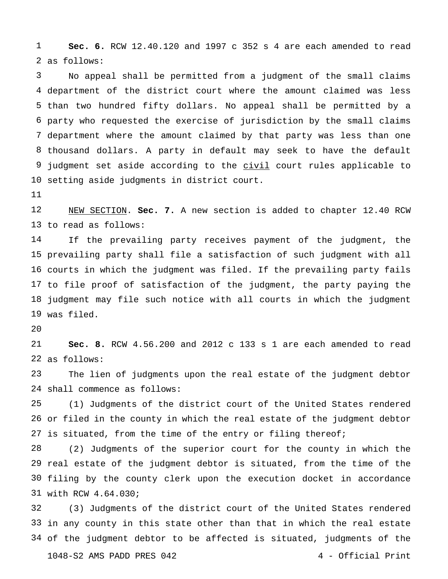as follows: **Sec. 6.** RCW 12.40.120 and 1997 c 352 s 4 are each amended to read

 department of the district court where the amount claimed was less than two hundred fifty dollars. No appeal shall be permitted by a party who requested the exercise of jurisdiction by the small claims department where the amount claimed by that party was less than one thousand dollars. A party in default may seek to have the default 9 judgment set aside according to the civil court rules applicable to setting aside judgments in district court. No appeal shall be permitted from a judgment of the small claims

 to read as follows: NEW SECTION. **Sec. 7.** A new section is added to chapter 12.40 RCW

 prevailing party shall file a satisfaction of such judgment with all courts in which the judgment was filed. If the prevailing party fails to file proof of satisfaction of the judgment, the party paying the judgment may file such notice with all courts in which the judgment was filed. If the prevailing party receives payment of the judgment, the

 $2.0$ 

 as follows: **Sec. 8.** RCW 4.56.200 and 2012 c 133 s 1 are each amended to read

 shall commence as follows: The lien of judgments upon the real estate of the judgment debtor

 or filed in the county in which the real estate of the judgment debtor 27 is situated, from the time of the entry or filing thereof; (1) Judgments of the district court of the United States rendered

 real estate of the judgment debtor is situated, from the time of the filing by the county clerk upon the execution docket in accordance with RCW 4.64.030; (2) Judgments of the superior court for the county in which the

 in any county in this state other than that in which the real estate of the judgment debtor to be affected is situated, judgments of the 1048-S2 AMS PADD PRES 042 4 - Official Print (3) Judgments of the district court of the United States rendered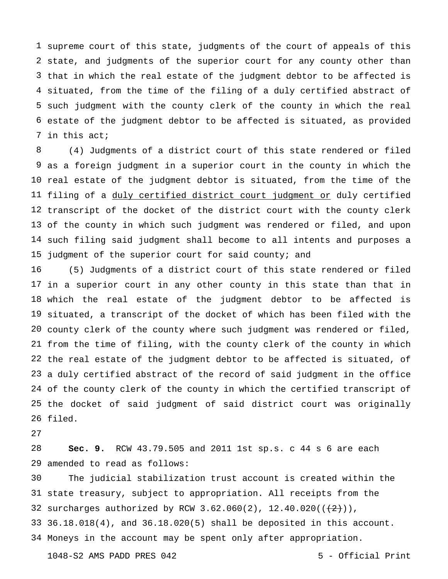supreme court of this state, judgments of the court of appeals of this state, and judgments of the superior court for any county other than that in which the real estate of the judgment debtor to be affected is situated, from the time of the filing of a duly certified abstract of such judgment with the county clerk of the county in which the real estate of the judgment debtor to be affected is situated, as provided in this act;

 as a foreign judgment in a superior court in the county in which the real estate of the judgment debtor is situated, from the time of the filing of a duly certified district court judgment or duly certified transcript of the docket of the district court with the county clerk of the county in which such judgment was rendered or filed, and upon such filing said judgment shall become to all intents and purposes a judgment of the superior court for said county; and (4) Judgments of a district court of this state rendered or filed

 in a superior court in any other county in this state than that in which the real estate of the judgment debtor to be affected is situated, a transcript of the docket of which has been filed with the county clerk of the county where such judgment was rendered or filed, from the time of filing, with the county clerk of the county in which the real estate of the judgment debtor to be affected is situated, of a duly certified abstract of the record of said judgment in the office of the county clerk of the county in which the certified transcript of the docket of said judgment of said district court was originally filed. (5) Judgments of a district court of this state rendered or filed

 amended to read as follows: **Sec. 9.** RCW 43.79.505 and 2011 1st sp.s. c 44 s 6 are each

 state treasury, subject to appropriation. All receipts from the 32 surcharges authorized by RCW 3.62.060(2),  $12.40.020((+2))$ , 36.18.018(4), and 36.18.020(5) shall be deposited in this account. Moneys in the account may be spent only after appropriation.The judicial stabilization trust account is created within the

1048-S2 AMS PADD PRES 042 5 - Official Print